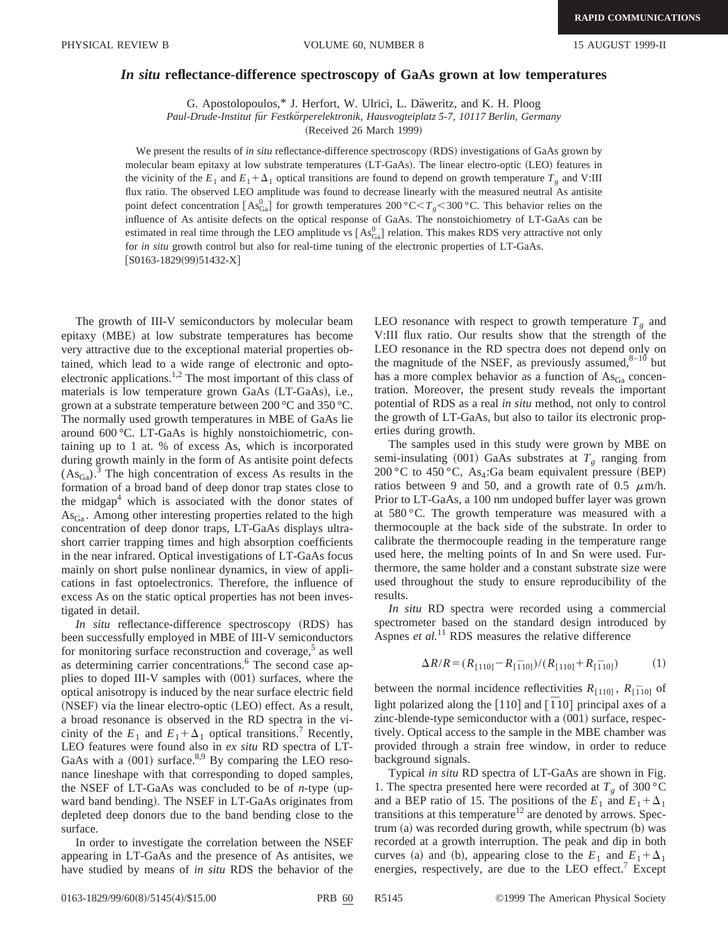## *In situ* **reflectance-difference spectroscopy of GaAs grown at low temperatures**

G. Apostolopoulos,\* J. Herfort, W. Ulrici, L. Däweritz, and K. H. Ploog

*Paul-Drude-Institut fu¨r Festko¨rperelektronik, Hausvogteiplatz 5-7, 10117 Berlin, Germany*

(Received 26 March 1999)

We present the results of *in situ* reflectance-difference spectroscopy (RDS) investigations of GaAs grown by molecular beam epitaxy at low substrate temperatures (LT-GaAs). The linear electro-optic (LEO) features in the vicinity of the  $E_1$  and  $E_1 + \Delta_1$  optical transitions are found to depend on growth temperature  $T_g$  and V:III flux ratio. The observed LEO amplitude was found to decrease linearly with the measured neutral As antisite point defect concentration  $[As^0_{Ga}]$  for growth temperatures 200 °C $\lt T_g$  < 300 °C. This behavior relies on the influence of As antisite defects on the optical response of GaAs. The nonstoichiometry of LT-GaAs can be estimated in real time through the LEO amplitude vs  $[As^0_{Ga}]$  relation. This makes RDS very attractive not only for *in situ* growth control but also for real-time tuning of the electronic properties of LT-GaAs.  $[$ S0163-1829(99)51432-X $]$ 

The growth of III-V semiconductors by molecular beam epitaxy (MBE) at low substrate temperatures has become very attractive due to the exceptional material properties obtained, which lead to a wide range of electronic and optoelectronic applications.<sup>1,2</sup> The most important of this class of materials is low temperature grown GaAs (LT-GaAs), i.e., grown at a substrate temperature between 200 °C and 350 °C. The normally used growth temperatures in MBE of GaAs lie around 600 °C. LT-GaAs is highly nonstoichiometric, containing up to 1 at. % of excess As, which is incorporated during growth mainly in the form of As antisite point defects  $(As_{Ga})^3$ .<sup>3</sup> The high concentration of excess As results in the formation of a broad band of deep donor trap states close to the midgap<sup>4</sup> which is associated with the donor states of AsGa . Among other interesting properties related to the high concentration of deep donor traps, LT-GaAs displays ultrashort carrier trapping times and high absorption coefficients in the near infrared. Optical investigations of LT-GaAs focus mainly on short pulse nonlinear dynamics, in view of applications in fast optoelectronics. Therefore, the influence of excess As on the static optical properties has not been investigated in detail.

*In situ* reflectance-difference spectroscopy (RDS) has been successfully employed in MBE of III-V semiconductors for monitoring surface reconstruction and coverage,<sup>5</sup> as well as determining carrier concentrations.<sup>6</sup> The second case applies to doped III-V samples with  $(001)$  surfaces, where the optical anisotropy is induced by the near surface electric field (NSEF) via the linear electro-optic (LEO) effect. As a result, a broad resonance is observed in the RD spectra in the vicinity of the  $E_1$  and  $E_1 + \Delta_1$  optical transitions.<sup>7</sup> Recently, LEO features were found also in *ex situ* RD spectra of LT-GaAs with a  $(001)$  surface.<sup>8,9</sup> By comparing the LEO resonance lineshape with that corresponding to doped samples, the NSEF of LT-GaAs was concluded to be of  $n$ -type (upward band bending). The NSEF in LT-GaAs originates from depleted deep donors due to the band bending close to the surface.

In order to investigate the correlation between the NSEF appearing in LT-GaAs and the presence of As antisites, we have studied by means of *in situ* RDS the behavior of the LEO resonance with respect to growth temperature  $T<sub>g</sub>$  and V:III flux ratio. Our results show that the strength of the LEO resonance in the RD spectra does not depend only on the magnitude of the NSEF, as previously assumed, $8-10$  but has a more complex behavior as a function of  $\text{As}_{Ga}$  concentration. Moreover, the present study reveals the important potential of RDS as a real *in situ* method, not only to control the growth of LT-GaAs, but also to tailor its electronic properties during growth.

The samples used in this study were grown by MBE on semi-insulating  $(001)$  GaAs substrates at  $T_g$  ranging from 200 °C to 450 °C, As<sub>4</sub>:Ga beam equivalent pressure (BEP) ratios between 9 and 50, and a growth rate of 0.5  $\mu$ m/h. Prior to LT-GaAs, a 100 nm undoped buffer layer was grown at 580 °C. The growth temperature was measured with a thermocouple at the back side of the substrate. In order to calibrate the thermocouple reading in the temperature range used here, the melting points of In and Sn were used. Furthermore, the same holder and a constant substrate size were used throughout the study to ensure reproducibility of the results.

*In situ* RD spectra were recorded using a commercial spectrometer based on the standard design introduced by Aspnes *et al.*<sup>11</sup> RDS measures the relative difference

$$
\Delta R/R = (R_{[110]} - R_{[\bar{1}10]})/(R_{[110]} + R_{[\bar{1}10]})
$$
 (1)

between the normal incidence reflectivities  $R_{[110]}$ ,  $R_{[110]}$  of light polarized along the  $[110]$  and  $[110]$  principal axes of a zinc-blende-type semiconductor with a  $(001)$  surface, respectively. Optical access to the sample in the MBE chamber was provided through a strain free window, in order to reduce background signals.

Typical *in situ* RD spectra of LT-GaAs are shown in Fig. 1. The spectra presented here were recorded at  $T_g$  of 300 °C and a BEP ratio of 15. The positions of the  $E_1$  and  $E_1 + \Delta_1$ transitions at this temperature<sup>12</sup> are denoted by arrows. Spec $trum (a) was recorded during growth, while spectrum (b) was$ recorded at a growth interruption. The peak and dip in both curves (a) and (b), appearing close to the  $E_1$  and  $E_1 + \Delta_1$ energies, respectively, are due to the LEO effect.<sup>7</sup> Except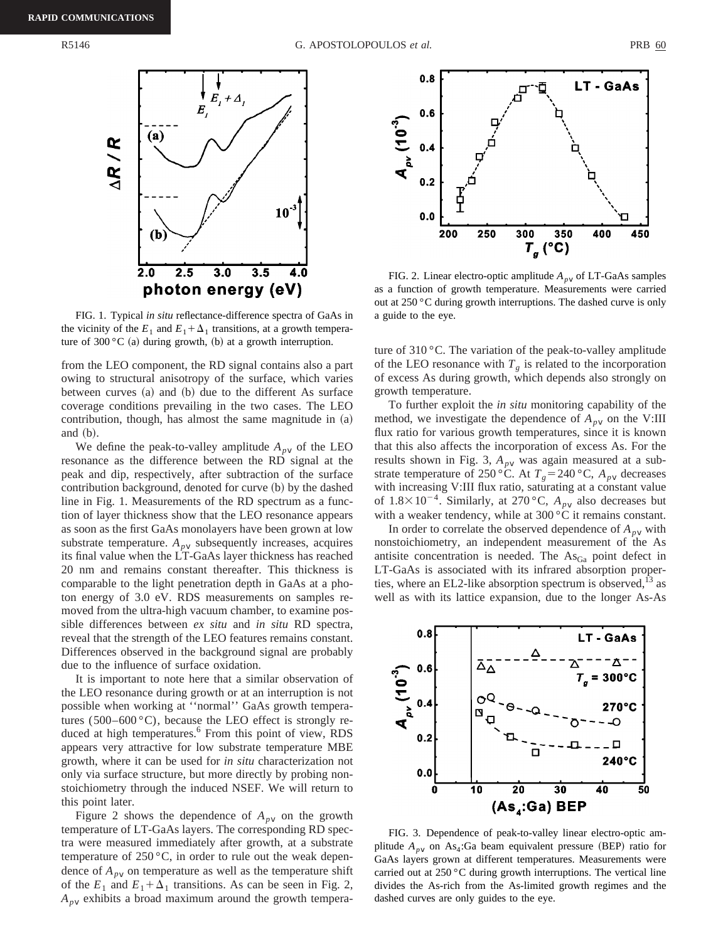

FIG. 1. Typical *in situ* reflectance-difference spectra of GaAs in the vicinity of the  $E_1$  and  $E_1 + \Delta_1$  transitions, at a growth temperature of 300 °C (a) during growth, (b) at a growth interruption.

from the LEO component, the RD signal contains also a part owing to structural anisotropy of the surface, which varies between curves  $(a)$  and  $(b)$  due to the different As surface coverage conditions prevailing in the two cases. The LEO contribution, though, has almost the same magnitude in  $(a)$ and  $(b)$ .

We define the peak-to-valley amplitude  $A_{pV}$  of the LEO resonance as the difference between the RD signal at the peak and dip, respectively, after subtraction of the surface contribution background, denoted for curve (b) by the dashed line in Fig. 1. Measurements of the RD spectrum as a function of layer thickness show that the LEO resonance appears as soon as the first GaAs monolayers have been grown at low substrate temperature.  $A_{pV}$  subsequently increases, acquires its final value when the LT-GaAs layer thickness has reached 20 nm and remains constant thereafter. This thickness is comparable to the light penetration depth in GaAs at a photon energy of 3.0 eV. RDS measurements on samples removed from the ultra-high vacuum chamber, to examine possible differences between *ex situ* and *in situ* RD spectra, reveal that the strength of the LEO features remains constant. Differences observed in the background signal are probably due to the influence of surface oxidation.

It is important to note here that a similar observation of the LEO resonance during growth or at an interruption is not possible when working at ''normal'' GaAs growth temperatures  $(500-600 \degree C)$ , because the LEO effect is strongly reduced at high temperatures.<sup>6</sup> From this point of view, RDS appears very attractive for low substrate temperature MBE growth, where it can be used for *in situ* characterization not only via surface structure, but more directly by probing nonstoichiometry through the induced NSEF. We will return to this point later.

Figure 2 shows the dependence of  $A_{pV}$  on the growth temperature of LT-GaAs layers. The corresponding RD spectra were measured immediately after growth, at a substrate temperature of  $250 \degree C$ , in order to rule out the weak dependence of  $A_{p\nu}$  on temperature as well as the temperature shift of the  $E_1$  and  $E_1 + \Delta_1$  transitions. As can be seen in Fig. 2,  $A_{p\nu}$  exhibits a broad maximum around the growth tempera-



FIG. 2. Linear electro-optic amplitude  $A_{pV}$  of LT-GaAs samples as a function of growth temperature. Measurements were carried out at 250 °C during growth interruptions. The dashed curve is only a guide to the eye.

ture of 310 °C. The variation of the peak-to-valley amplitude of the LEO resonance with  $T_g$  is related to the incorporation of excess As during growth, which depends also strongly on growth temperature.

To further exploit the *in situ* monitoring capability of the method, we investigate the dependence of  $A_{pV}$  on the V:III flux ratio for various growth temperatures, since it is known that this also affects the incorporation of excess As. For the results shown in Fig. 3,  $A_{pV}$  was again measured at a substrate temperature of 250 °C. At  $T_g = 240$  °C,  $A_{pV}$  decreases with increasing V:III flux ratio, saturating at a constant value of  $1.8 \times 10^{-4}$ . Similarly, at 270 °C,  $A_{pV}$  also decreases but with a weaker tendency, while at 300 °C it remains constant.

In order to correlate the observed dependence of  $A_{pV}$  with nonstoichiometry, an independent measurement of the As antisite concentration is needed. The  $\text{As}_{\text{Ga}}$  point defect in LT-GaAs is associated with its infrared absorption properties, where an EL2-like absorption spectrum is observed, $^{13}$  as well as with its lattice expansion, due to the longer As-As



FIG. 3. Dependence of peak-to-valley linear electro-optic amplitude  $A_{pV}$  on As<sub>4</sub>:Ga beam equivalent pressure (BEP) ratio for GaAs layers grown at different temperatures. Measurements were carried out at 250 °C during growth interruptions. The vertical line divides the As-rich from the As-limited growth regimes and the dashed curves are only guides to the eye.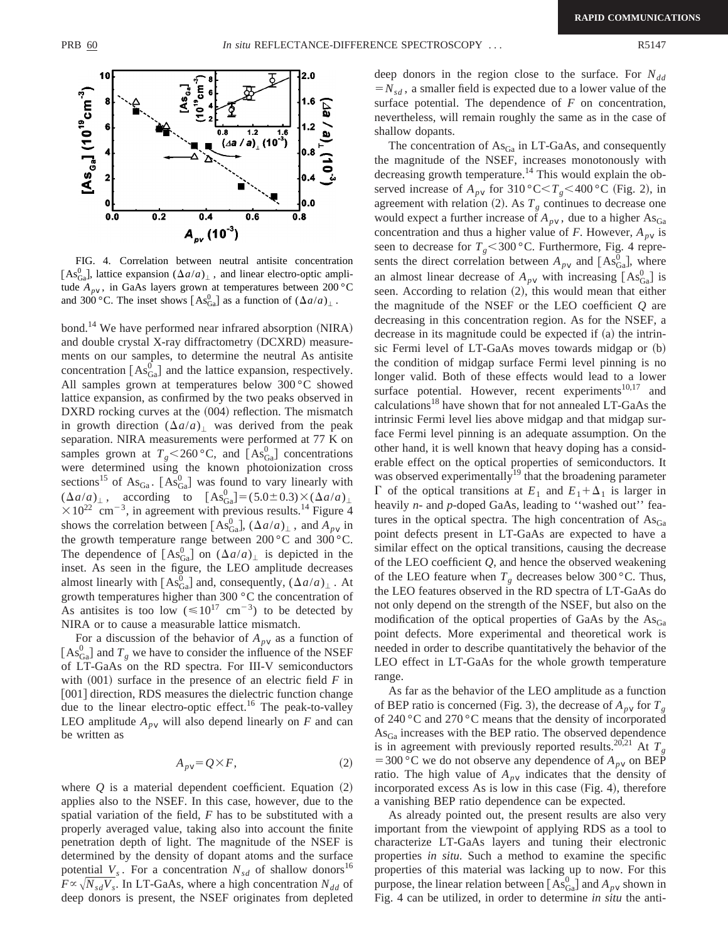

FIG. 4. Correlation between neutral antisite concentration [As<sub>Ga</sub>], lattice expansion  $(\Delta a/a)_{\perp}$ , and linear electro-optic amplitude  $A_{pV}$ , in GaAs layers grown at temperatures between 200 °C and 300 °C. The inset shows  $[As^0_{Ga}]$  as a function of  $(\Delta a/a)_{\perp}$ .

bond.<sup>14</sup> We have performed near infrared absorption (NIRA) and double crystal X-ray diffractometry (DCXRD) measurements on our samples, to determine the neutral As antisite concentration  $[As_{Ga}^0]$  and the lattice expansion, respectively. All samples grown at temperatures below 300 °C showed lattice expansion, as confirmed by the two peaks observed in DXRD rocking curves at the (004) reflection. The mismatch in growth direction  $(\Delta a/a)$  was derived from the peak separation. NIRA measurements were performed at 77 K on samples grown at  $T_g$ <260 °C, and  $[As_{Ga}^0]$  concentrations were determined using the known photoionization cross sections<sup>15</sup> of As<sub>Ga</sub>. [As<sub>Ga</sub>] was found to vary linearly with  $(\Delta a/a)_{\perp}$ , according to  $[As_{Ga}^{0}] = (5.0 \pm 0.3) \times (\Delta a/a)_{\perp}$  $\times 10^{22}$  cm<sup>-3</sup>, in agreement with previous results.<sup>14</sup> Figure 4 shows the correlation between  $[As_{Ga}^0]$ ,  $(\Delta a/a)_{\perp}$ , and  $A_{pV}$  in the growth temperature range between 200 °C and 300 °C. The dependence of  $[As_{Ga}^0]$  on  $(\Delta a/a)_{\perp}$  is depicted in the inset. As seen in the figure, the LEO amplitude decreases almost linearly with  $[As_{Ga}^{0}]$  and, consequently,  $(\Delta a/a)_{\perp}$ . At growth temperatures higher than 300 °C the concentration of As antisites is too low  $(\leq 10^{17} \text{ cm}^{-3})$  to be detected by NIRA or to cause a measurable lattice mismatch.

For a discussion of the behavior of  $A_{pV}$  as a function of  $[As_{Ga}^0]$  and  $T_g$  we have to consider the influence of the NSEF of LT-GaAs on the RD spectra. For III-V semiconductors with  $(001)$  surface in the presence of an electric field  $F$  in [001] direction, RDS measures the dielectric function change due to the linear electro-optic effect.<sup>16</sup> The peak-to-valley LEO amplitude  $A_{pV}$  will also depend linearly on *F* and can be written as

$$
A_{p\,v} = Q \times F,\tag{2}
$$

where  $Q$  is a material dependent coefficient. Equation  $(2)$ applies also to the NSEF. In this case, however, due to the spatial variation of the field, *F* has to be substituted with a properly averaged value, taking also into account the finite penetration depth of light. The magnitude of the NSEF is determined by the density of dopant atoms and the surface potential  $V_s$ . For a concentration  $N_{sd}$  of shallow donors<sup>16</sup>  $F \propto \sqrt{N_{sd}V_s}$ . In LT-GaAs, where a high concentration  $N_{dd}$  of deep donors is present, the NSEF originates from depleted deep donors in the region close to the surface. For  $N_{dd}$  $=N_{sd}$ , a smaller field is expected due to a lower value of the surface potential. The dependence of *F* on concentration, nevertheless, will remain roughly the same as in the case of shallow dopants.

The concentration of  $\text{As}_{Ga}$  in LT-GaAs, and consequently the magnitude of the NSEF, increases monotonously with decreasing growth temperature.<sup>14</sup> This would explain the observed increase of  $A_{pV}$  for 310 °C $\lt T_g$  < 400 °C (Fig. 2), in agreement with relation  $(2)$ . As  $T_g$  continues to decrease one would expect a further increase of  $A_{pV}$ , due to a higher  $\text{As}_{\text{Ga}}$ concentration and thus a higher value of *F*. However,  $A_{pV}$  is seen to decrease for  $T_g$ <300 °C. Furthermore, Fig. 4 represents the direct correlation between  $A_{pV}$  and  $[As_{Ga}^0]$ , where an almost linear decrease of  $A_{p\nu}$  with increasing  $[As_{Ga}^0]$  is seen. According to relation  $(2)$ , this would mean that either the magnitude of the NSEF or the LEO coefficient *Q* are decreasing in this concentration region. As for the NSEF, a decrease in its magnitude could be expected if  $(a)$  the intrinsic Fermi level of  $LT$ -GaAs moves towards midgap or  $(b)$ the condition of midgap surface Fermi level pinning is no longer valid. Both of these effects would lead to a lower surface potential. However, recent experiments $10,17$  and calculations18 have shown that for not annealed LT-GaAs the intrinsic Fermi level lies above midgap and that midgap surface Fermi level pinning is an adequate assumption. On the other hand, it is well known that heavy doping has a considerable effect on the optical properties of semiconductors. It was observed experimentally<sup>19</sup> that the broadening parameter  $\Gamma$  of the optical transitions at  $E_1$  and  $E_1 + \Delta_1$  is larger in heavily *n*- and *p*-doped GaAs, leading to "washed out" features in the optical spectra. The high concentration of  $\text{As}_{\text{Ga}}$ point defects present in LT-GaAs are expected to have a similar effect on the optical transitions, causing the decrease of the LEO coefficient *Q*, and hence the observed weakening of the LEO feature when  $T_g$  decreases below 300 °C. Thus, the LEO features observed in the RD spectra of LT-GaAs do not only depend on the strength of the NSEF, but also on the modification of the optical properties of GaAs by the  $\text{As}_{\text{Ga}}$ point defects. More experimental and theoretical work is needed in order to describe quantitatively the behavior of the LEO effect in LT-GaAs for the whole growth temperature range.

As far as the behavior of the LEO amplitude as a function of BEP ratio is concerned (Fig. 3), the decrease of  $A_{pV}$  for  $T_g$ of 240 °C and 270 °C means that the density of incorporated  $\text{As}_{\text{Ga}}$  increases with the BEP ratio. The observed dependence is in agreement with previously reported results.<sup>20,21</sup> At  $T<sub>g</sub>$ = 300 °C we do not observe any dependence of  $A_{pV}$  on BEP ratio. The high value of  $A_{pV}$  indicates that the density of incorporated excess As is low in this case  $(Fig. 4)$ , therefore a vanishing BEP ratio dependence can be expected.

As already pointed out, the present results are also very important from the viewpoint of applying RDS as a tool to characterize LT-GaAs layers and tuning their electronic properties *in situ*. Such a method to examine the specific properties of this material was lacking up to now. For this purpose, the linear relation between  $[As^0_{Ga}]$  and  $A_{pV}$  shown in Fig. 4 can be utilized, in order to determine *in situ* the anti